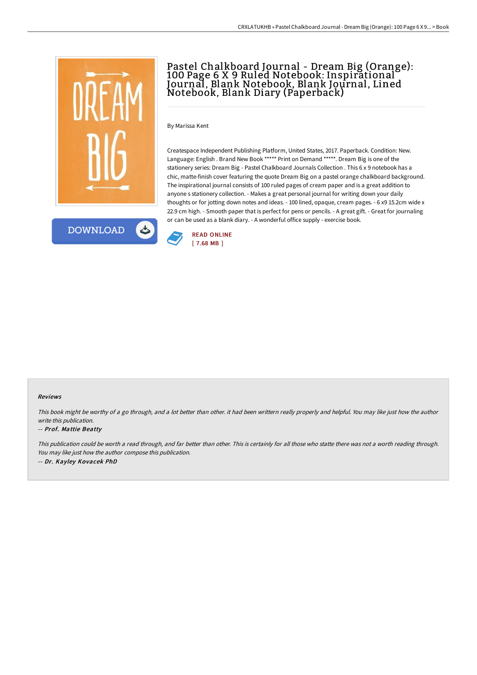

**DOWNLOAD** 

# Pastel Chalkboard Journal - Dream Big (Orange): 100 Page 6 X 9 Ruled Notebook: Inspirational Journal, Blank Notebook, Blank Journal, Lined Notebook, Blank Diary (Paperback)

By Marissa Kent

Createspace Independent Publishing Platform, United States, 2017. Paperback. Condition: New. Language: English . Brand New Book \*\*\*\*\* Print on Demand \*\*\*\*\*. Dream Big is one of the stationery series: Dream Big - Pastel Chalkboard Journals Collection . This 6 x 9 notebook has a chic, matte-finish cover featuring the quote Dream Big on a pastel orange chalkboard background. The inspirational journal consists of 100 ruled pages of cream paper and is a great addition to anyone s stationery collection. - Makes a great personal journal for writing down your daily thoughts or for jotting down notes and ideas. - 100 lined, opaque, cream pages. - 6 x9 15.2cm wide x 22.9 cm high. - Smooth paper that is perfect for pens or pencils. - A great gift. - Great for journaling or can be used as a blank diary. - A wonderful office supply - exercise book.



### Reviews

This book might be worthy of <sup>a</sup> go through, and <sup>a</sup> lot better than other. it had been writtern really properly and helpful. You may like just how the author write this publication.

### -- Prof. Mattie Beatty

This publication could be worth <sup>a</sup> read through, and far better than other. This is certainly for all those who statte there was not <sup>a</sup> worth reading through. You may like just how the author compose this publication. -- Dr. Kayley Kovacek PhD